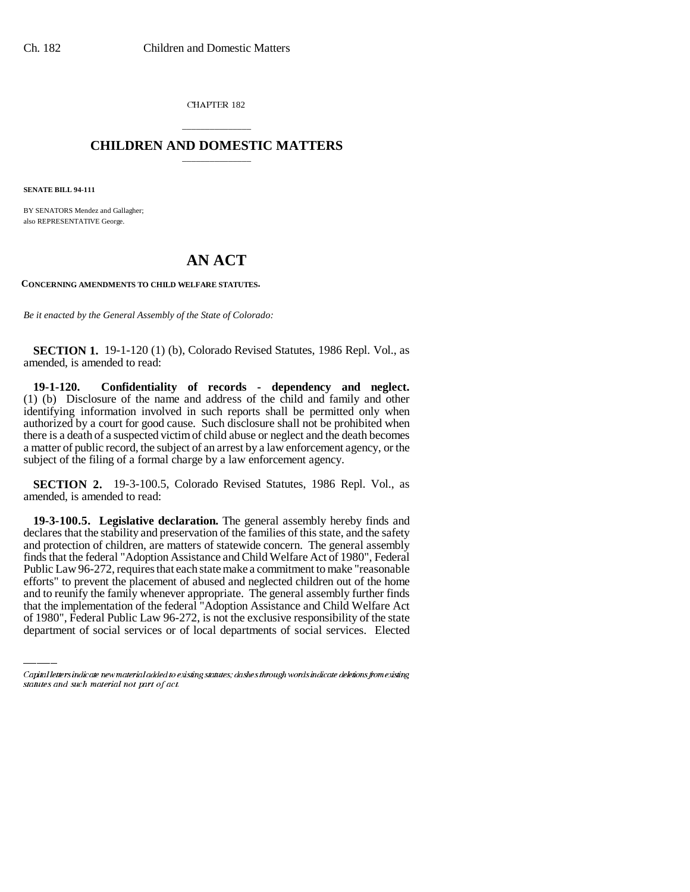CHAPTER 182

## \_\_\_\_\_\_\_\_\_\_\_\_\_\_\_ **CHILDREN AND DOMESTIC MATTERS** \_\_\_\_\_\_\_\_\_\_\_\_\_\_\_

**SENATE BILL 94-111**

BY SENATORS Mendez and Gallagher; also REPRESENTATIVE George.

## **AN ACT**

**CONCERNING AMENDMENTS TO CHILD WELFARE STATUTES.**

*Be it enacted by the General Assembly of the State of Colorado:*

**SECTION 1.** 19-1-120 (1) (b), Colorado Revised Statutes, 1986 Repl. Vol., as amended, is amended to read:

**19-1-120. Confidentiality of records - dependency and neglect.** (1) (b) Disclosure of the name and address of the child and family and other identifying information involved in such reports shall be permitted only when authorized by a court for good cause. Such disclosure shall not be prohibited when there is a death of a suspected victim of child abuse or neglect and the death becomes a matter of public record, the subject of an arrest by a law enforcement agency, or the subject of the filing of a formal charge by a law enforcement agency.

**SECTION 2.** 19-3-100.5, Colorado Revised Statutes, 1986 Repl. Vol., as amended, is amended to read:

efforts" to prevent the placement of abused and neglected children out of the home **19-3-100.5. Legislative declaration.** The general assembly hereby finds and declares that the stability and preservation of the families of this state, and the safety and protection of children, are matters of statewide concern. The general assembly finds that the federal "Adoption Assistance and Child Welfare Act of 1980", Federal Public Law 96-272, requires that each state make a commitment to make "reasonable and to reunify the family whenever appropriate. The general assembly further finds that the implementation of the federal "Adoption Assistance and Child Welfare Act of 1980", Federal Public Law 96-272, is not the exclusive responsibility of the state department of social services or of local departments of social services. Elected

Capital letters indicate new material added to existing statutes; dashes through words indicate deletions from existing statutes and such material not part of act.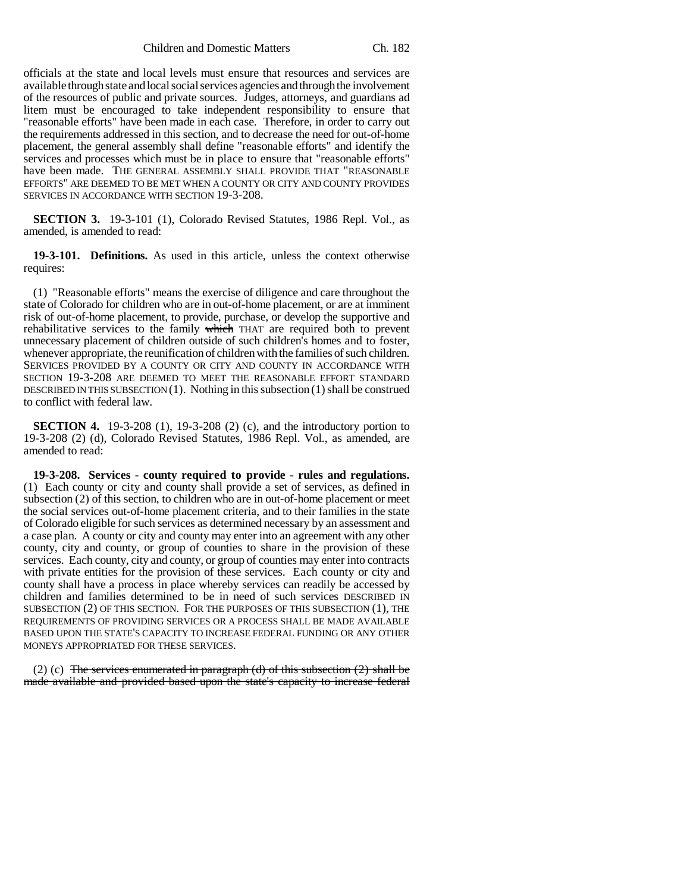Children and Domestic Matters Ch. 182

officials at the state and local levels must ensure that resources and services are available through state and local social services agencies and through the involvement of the resources of public and private sources. Judges, attorneys, and guardians ad litem must be encouraged to take independent responsibility to ensure that "reasonable efforts" have been made in each case. Therefore, in order to carry out the requirements addressed in this section, and to decrease the need for out-of-home placement, the general assembly shall define "reasonable efforts" and identify the services and processes which must be in place to ensure that "reasonable efforts" have been made. THE GENERAL ASSEMBLY SHALL PROVIDE THAT "REASONABLE EFFORTS" ARE DEEMED TO BE MET WHEN A COUNTY OR CITY AND COUNTY PROVIDES SERVICES IN ACCORDANCE WITH SECTION 19-3-208.

**SECTION 3.** 19-3-101 (1), Colorado Revised Statutes, 1986 Repl. Vol., as amended, is amended to read:

**19-3-101. Definitions.** As used in this article, unless the context otherwise requires:

(1) "Reasonable efforts" means the exercise of diligence and care throughout the state of Colorado for children who are in out-of-home placement, or are at imminent risk of out-of-home placement, to provide, purchase, or develop the supportive and rehabilitative services to the family which THAT are required both to prevent unnecessary placement of children outside of such children's homes and to foster, whenever appropriate, the reunification of children with the families of such children. SERVICES PROVIDED BY A COUNTY OR CITY AND COUNTY IN ACCORDANCE WITH SECTION 19-3-208 ARE DEEMED TO MEET THE REASONABLE EFFORT STANDARD DESCRIBED IN THIS SUBSECTION (1). Nothing in this subsection (1) shall be construed to conflict with federal law.

**SECTION 4.** 19-3-208 (1), 19-3-208 (2) (c), and the introductory portion to 19-3-208 (2) (d), Colorado Revised Statutes, 1986 Repl. Vol., as amended, are amended to read:

**19-3-208. Services - county required to provide - rules and regulations.** (1) Each county or city and county shall provide a set of services, as defined in subsection (2) of this section, to children who are in out-of-home placement or meet the social services out-of-home placement criteria, and to their families in the state of Colorado eligible for such services as determined necessary by an assessment and a case plan. A county or city and county may enter into an agreement with any other county, city and county, or group of counties to share in the provision of these services. Each county, city and county, or group of counties may enter into contracts with private entities for the provision of these services. Each county or city and county shall have a process in place whereby services can readily be accessed by children and families determined to be in need of such services DESCRIBED IN SUBSECTION (2) OF THIS SECTION. FOR THE PURPOSES OF THIS SUBSECTION (1), THE REQUIREMENTS OF PROVIDING SERVICES OR A PROCESS SHALL BE MADE AVAILABLE BASED UPON THE STATE'S CAPACITY TO INCREASE FEDERAL FUNDING OR ANY OTHER MONEYS APPROPRIATED FOR THESE SERVICES.

(2) (c) The services enumerated in paragraph (d) of this subsection  $(2)$  shall be made available and provided based upon the state's capacity to increase federal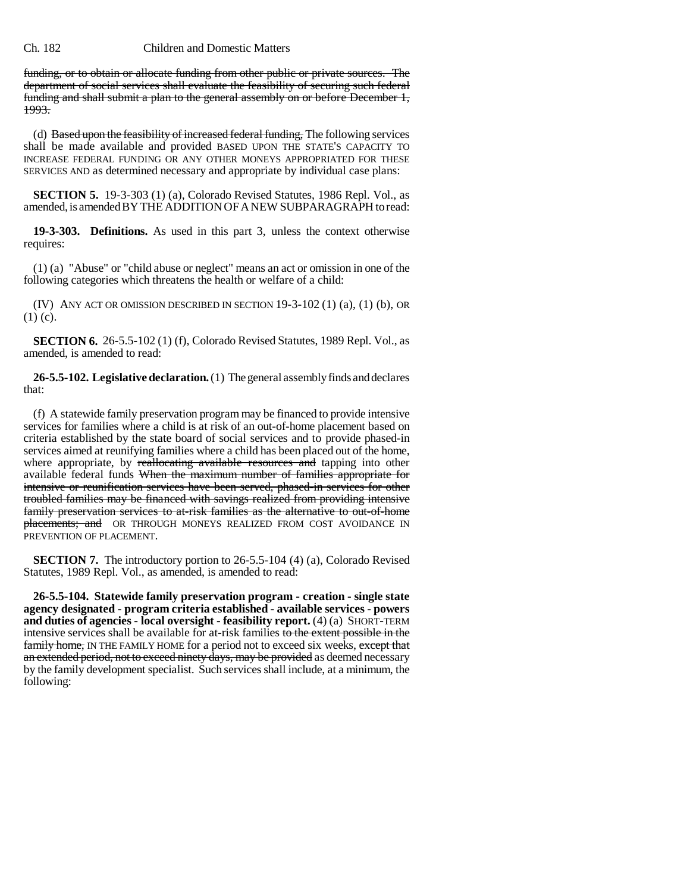## Ch. 182 Children and Domestic Matters

funding, or to obtain or allocate funding from other public or private sources. The department of social services shall evaluate the feasibility of securing such federal funding and shall submit a plan to the general assembly on or before December 1, 1993.

(d) Based upon the feasibility of increased federal funding, The following services shall be made available and provided BASED UPON THE STATE'S CAPACITY TO INCREASE FEDERAL FUNDING OR ANY OTHER MONEYS APPROPRIATED FOR THESE SERVICES AND as determined necessary and appropriate by individual case plans:

**SECTION 5.** 19-3-303 (1) (a), Colorado Revised Statutes, 1986 Repl. Vol., as amended, is amended BY THE ADDITION OF A NEW SUBPARAGRAPH to read:

**19-3-303. Definitions.** As used in this part 3, unless the context otherwise requires:

(1) (a) "Abuse" or "child abuse or neglect" means an act or omission in one of the following categories which threatens the health or welfare of a child:

(IV) ANY ACT OR OMISSION DESCRIBED IN SECTION 19-3-102 (1) (a), (1) (b), OR  $(1)$  (c).

**SECTION 6.** 26-5.5-102 (1) (f), Colorado Revised Statutes, 1989 Repl. Vol., as amended, is amended to read:

**26-5.5-102. Legislative declaration.** (1) The general assembly finds and declares that:

(f) A statewide family preservation program may be financed to provide intensive services for families where a child is at risk of an out-of-home placement based on criteria established by the state board of social services and to provide phased-in services aimed at reunifying families where a child has been placed out of the home, where appropriate, by reallocating available resources and tapping into other available federal funds When the maximum number of families appropriate for intensive or reunification services have been served, phased-in services for other troubled families may be financed with savings realized from providing intensive family preservation services to at-risk families as the alternative to out-of-home placements; and OR THROUGH MONEYS REALIZED FROM COST AVOIDANCE IN PREVENTION OF PLACEMENT.

**SECTION 7.** The introductory portion to 26-5.5-104 (4) (a), Colorado Revised Statutes, 1989 Repl. Vol., as amended, is amended to read:

**26-5.5-104. Statewide family preservation program - creation - single state agency designated - program criteria established - available services - powers and duties of agencies - local oversight - feasibility report.** (4) (a) SHORT-TERM intensive services shall be available for at-risk families to the extent possible in the family home, IN THE FAMILY HOME for a period not to exceed six weeks, except that an extended period, not to exceed ninety days, may be provided as deemed necessary by the family development specialist. Such services shall include, at a minimum, the following: